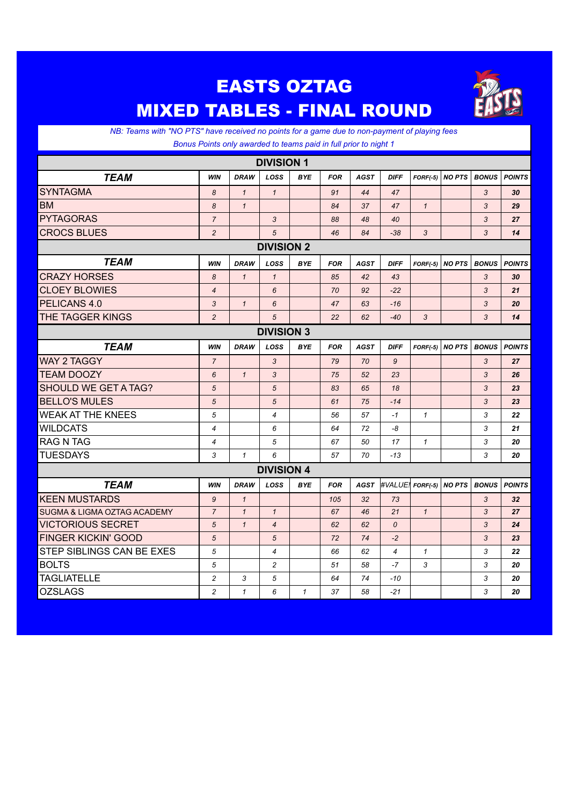## EASTS OZTAG MIXED TABLES - FINAL ROUND



*NB: Teams with "NO PTS" have received no points for a game due to non-payment of playing fees Bonus Points only awarded to teams paid in full prior to night 1*

| <b>DIVISION 1</b>           |                |              |                |              |            |             |                |              |               |              |               |
|-----------------------------|----------------|--------------|----------------|--------------|------------|-------------|----------------|--------------|---------------|--------------|---------------|
| <b>TEAM</b>                 | <b>WIN</b>     | <b>DRAW</b>  | LOSS           | <b>BYE</b>   | <b>FOR</b> | <b>AGST</b> | <b>DIFF</b>    | $FORF(-5)$   | <b>NO PTS</b> | <b>BONUS</b> | <b>POINTS</b> |
| <b>SYNTAGMA</b>             | 8              | $\mathbf{1}$ | $\mathbf{1}$   |              | 91         | 44          | 47             |              |               | 3            | 30            |
| <b>BM</b>                   | 8              | $\mathbf{1}$ |                |              | 84         | 37          | 47             | $\mathbf{1}$ |               | 3            | 29            |
| <b>PYTAGORAS</b>            | $\overline{7}$ |              | 3              |              | 88         | 48          | 40             |              |               | 3            | 27            |
| <b>CROCS BLUES</b>          | $\overline{2}$ |              | 5              |              | 46         | 84          | $-38$          | 3            |               | 3            | 14            |
| <b>DIVISION 2</b>           |                |              |                |              |            |             |                |              |               |              |               |
| <b>TEAM</b>                 | <b>WIN</b>     | <b>DRAW</b>  | LOSS           | <b>BYE</b>   | <b>FOR</b> | <b>AGST</b> | <b>DIFF</b>    | $FORF(-5)$   | <b>NO PTS</b> | <b>BONUS</b> | <b>POINTS</b> |
| <b>CRAZY HORSES</b>         | 8              | $\mathbf{1}$ | $\mathbf{1}$   |              | 85         | 42          | 43             |              |               | 3            | 30            |
| <b>CLOEY BLOWIES</b>        | $\overline{4}$ |              | 6              |              | 70         | 92          | $-22$          |              |               | 3            | 21            |
| PELICANS 4.0                | 3              | $\mathbf{1}$ | 6              |              | 47         | 63          | $-16$          |              |               | 3            | 20            |
| THE TAGGER KINGS            | $\overline{2}$ |              | 5              |              | 22         | 62          | $-40$          | 3            |               | 3            | 14            |
| <b>DIVISION 3</b>           |                |              |                |              |            |             |                |              |               |              |               |
| <b>TEAM</b>                 | <b>WIN</b>     | <b>DRAW</b>  | LOSS           | <b>BYE</b>   | <b>FOR</b> | <b>AGST</b> | <b>DIFF</b>    | $FORF(-5)$   | <b>NO PTS</b> | <b>BONUS</b> | <b>POINTS</b> |
| <b>WAY 2 TAGGY</b>          | $\overline{7}$ |              | 3              |              | 79         | 70          | 9              |              |               | 3            | 27            |
| <b>TEAM DOOZY</b>           | 6              | $\mathbf{1}$ | 3              |              | 75         | 52          | 23             |              |               | 3            | 26            |
| SHOULD WE GET A TAG?        | 5              |              | 5              |              | 83         | 65          | 18             |              |               | 3            | 23            |
| <b>BELLO'S MULES</b>        | 5              |              | 5              |              | 61         | 75          | $-14$          |              |               | 3            | 23            |
| <b>WEAK AT THE KNEES</b>    | 5              |              | $\overline{4}$ |              | 56         | 57          | $-1$           | $\mathbf{1}$ |               | 3            | 22            |
| <b>WILDCATS</b>             | $\overline{4}$ |              | 6              |              | 64         | 72          | -8             |              |               | 3            | 21            |
| <b>RAG N TAG</b>            | 4              |              | 5              |              | 67         | 50          | 17             | $\mathbf{1}$ |               | 3            | 20            |
| <b>TUESDAYS</b>             | 3              | $\mathbf{1}$ | 6              |              | 57         | 70          | $-13$          |              |               | 3            | 20            |
| <b>DIVISION 4</b>           |                |              |                |              |            |             |                |              |               |              |               |
| <b>TEAM</b>                 | <b>WIN</b>     | <b>DRAW</b>  | LOSS           | <b>BYE</b>   | <b>FOR</b> | <b>AGST</b> | #VALUE!        | $FORF(-5)$   | <b>NO PTS</b> | <b>BONUS</b> | <b>POINTS</b> |
| <b>KEEN MUSTARDS</b>        | 9              | $\mathbf{1}$ |                |              | 105        | 32          | 73             |              |               | 3            | 32            |
| SUGMA & LIGMA OZTAG ACADEMY | $\overline{7}$ | $\mathbf{1}$ | $\mathbf{1}$   |              | 67         | 46          | 21             | $\mathbf{1}$ |               | 3            | 27            |
| <b>VICTORIOUS SECRET</b>    | 5              | $\mathbf{1}$ | $\overline{4}$ |              | 62         | 62          | 0              |              |               | 3            | 24            |
| <b>FINGER KICKIN' GOOD</b>  | 5              |              | 5              |              | 72         | 74          | $-2$           |              |               | 3            | 23            |
| STEP SIBLINGS CAN BE EXES   | 5              |              | $\overline{4}$ |              | 66         | 62          | $\overline{4}$ | $\mathbf{1}$ |               | 3            | 22            |
| <b>BOLTS</b>                | 5              |              | $\overline{c}$ |              | 51         | 58          | $-7$           | 3            |               | 3            | 20            |
| <b>TAGLIATELLE</b>          | $\overline{c}$ | 3            | 5              |              | 64         | 74          | $-10$          |              |               | 3            | 20            |
| <b>OZSLAGS</b>              | $\overline{c}$ | $\mathbf{1}$ | 6              | $\mathcal I$ | 37         | 58          | $-21$          |              |               | 3            | 20            |